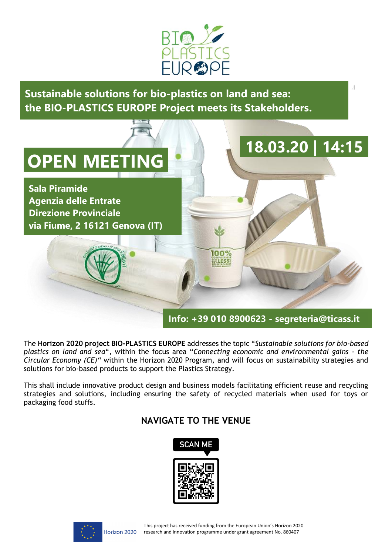

**Sustainable solutions for bio-plastics on land and sea: the BIO-PLASTICS EUROPE Project meets its Stakeholders.**



The **Horizon 2020 project BIO-PLASTICS EUROPE** addresses the topic "*Sustainable solutions for bio-based plastics on land and sea*", within the focus area "*Connecting economic and environmental gains - the Circular Economy (CE)"* within the Horizon 2020 Program, and will focus on sustainability strategies and solutions for bio-based products to support the Plastics Strategy.

This shall include innovative product design and business models facilitating efficient reuse and recycling strategies and solutions, including ensuring the safety of recycled materials when used for toys or packaging food stuffs.

## **NAVIGATE TO THE VENUE**